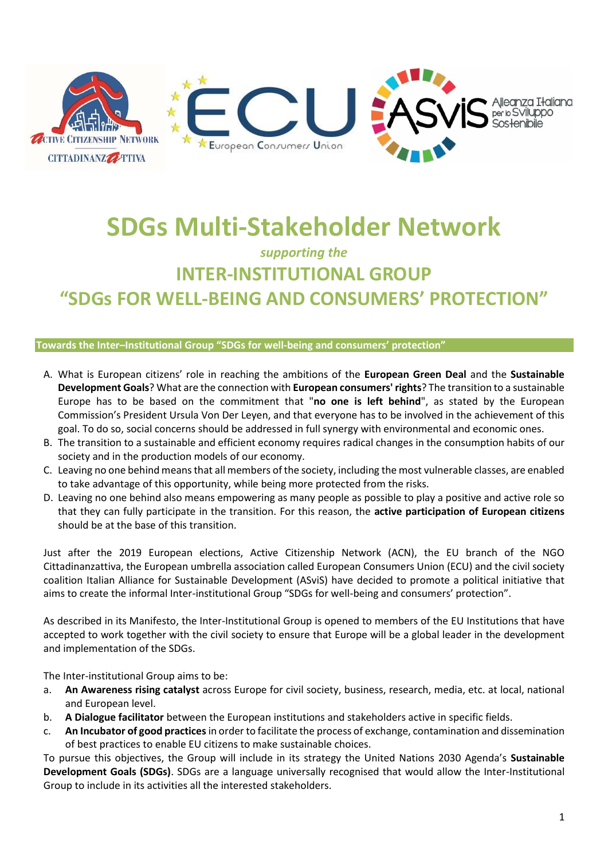

# **SDGs Multi-Stakeholder Network**

## *supporting the*  **INTER-INSTITUTIONAL GROUP "SDGs FOR WELL-BEING AND CONSUMERS' PROTECTION"**

#### **Towards the Inter–Institutional Group "SDGs for well-being and consumers' protection"**

- A. What is European citizens' role in reaching the ambitions of the **European Green Deal** and the **Sustainable Development Goals**? What are the connection with **European consumers' rights**? The transition to a sustainable Europe has to be based on the commitment that "**no one is left behind**", as stated by the European Commission's President Ursula Von Der Leyen, and that everyone has to be involved in the achievement of this goal. To do so, social concerns should be addressed in full synergy with environmental and economic ones.
- B. The transition to a sustainable and efficient economy requires radical changes in the consumption habits of our society and in the production models of our economy.
- C. Leaving no one behind means that all members of the society, including the most vulnerable classes, are enabled to take advantage of this opportunity, while being more protected from the risks.
- D. Leaving no one behind also means empowering as many people as possible to play a positive and active role so that they can fully participate in the transition. For this reason, the **active participation of European citizens** should be at the base of this transition.

Just after the 2019 European elections, Active Citizenship Network (ACN), the EU branch of the NGO Cittadinanzattiva, the European umbrella association called European Consumers Union (ECU) and the civil society coalition Italian Alliance for Sustainable Development (ASviS) have decided to promote a political initiative that aims to create the informal Inter-institutional Group "SDGs for well-being and consumers' protection".

As described in its Manifesto, the Inter-Institutional Group is opened to members of the EU Institutions that have accepted to work together with the civil society to ensure that Europe will be a global leader in the development and implementation of the SDGs.

The Inter-institutional Group aims to be:

- a. **An Awareness rising catalyst** across Europe for civil society, business, research, media, etc. at local, national and European level.
- b. **A Dialogue facilitator** between the European institutions and stakeholders active in specific fields.
- c. **An Incubator of good practices** in order to facilitate the process of exchange, contamination and dissemination of best practices to enable EU citizens to make sustainable choices.

To pursue this objectives, the Group will include in its strategy the United Nations 2030 Agenda's **Sustainable Development Goals (SDGs)**. SDGs are a language universally recognised that would allow the Inter-Institutional Group to include in its activities all the interested stakeholders.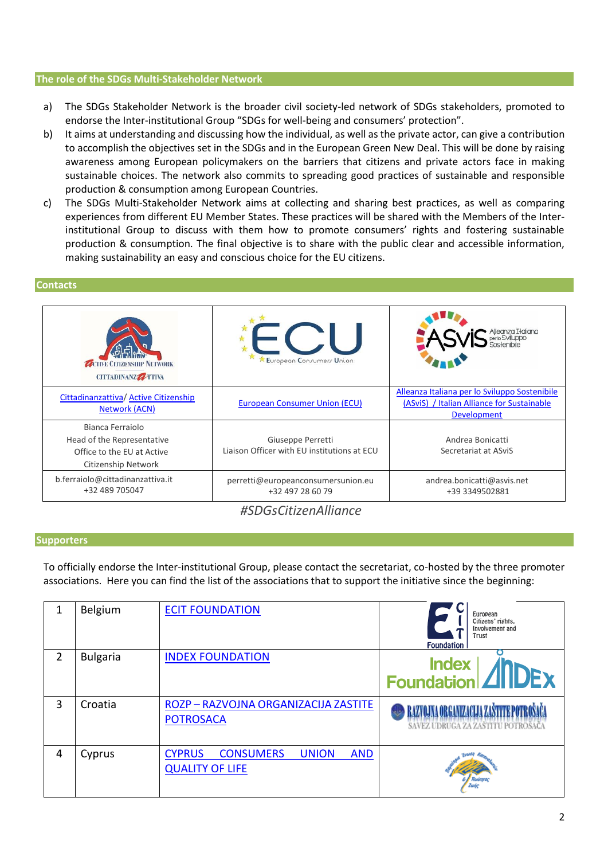#### **The role of the SDGs Multi-Stakeholder Network**

- a) The SDGs Stakeholder Network is the broader civil society-led network of SDGs stakeholders, promoted to endorse the Inter-institutional Group "SDGs for well-being and consumers' protection".
- b) It aims at understanding and discussing how the individual, as well as the private actor, can give a contribution to accomplish the objectives set in the SDGs and in the European Green New Deal. This will be done by raising awareness among European policymakers on the barriers that citizens and private actors face in making sustainable choices. The network also commits to spreading good practices of sustainable and responsible production & consumption among European Countries.
- c) The SDGs Multi-Stakeholder Network aims at collecting and sharing best practices, as well as comparing experiences from different EU Member States. These practices will be shared with the Members of the Interinstitutional Group to discuss with them how to promote consumers' rights and fostering sustainable production & consumption. The final objective is to share with the public clear and accessible information, making sustainability an easy and conscious choice for the EU citizens.

#### **Contacts**

| <b>ZACTIVE CITIZENSILIP NETWORK</b><br>CITTADINANZZZ TTIVA                                          | European Consumers Union                                         |                                                                                                                   |
|-----------------------------------------------------------------------------------------------------|------------------------------------------------------------------|-------------------------------------------------------------------------------------------------------------------|
| Cittadinanzattiva/ Active Citizenship<br><b>Network (ACN)</b>                                       | <b>European Consumer Union (ECU)</b>                             | Alleanza Italiana per lo Sviluppo Sostenibile<br>(ASviS) / Italian Alliance for Sustainable<br><b>Development</b> |
| Bianca Ferraiolo<br>Head of the Representative<br>Office to the EU at Active<br>Citizenship Network | Giuseppe Perretti<br>Liaison Officer with EU institutions at ECU | Andrea Bonicatti<br>Secretariat at ASviS                                                                          |
| b.ferraiolo@cittadinanzattiva.it<br>+32 489 705047                                                  | perretti@europeanconsumersunion.eu<br>+32 497 28 60 79           | andrea.bonicatti@asvis.net<br>+39 3349502881                                                                      |

### *#SDGsCitizenAlliance*

#### **Supporters**

To officially endorse the Inter-institutional Group, please contact the secretariat, co-hosted by the three promoter associations. Here you can find the list of the associations that to support the initiative since the beginning:

| 1 | Belgium         | <b>ECIT FOUNDATION</b>                                                                    | European<br>Citizens' rights,<br>Involvement and<br>Trust<br><b>Foundation</b> |
|---|-----------------|-------------------------------------------------------------------------------------------|--------------------------------------------------------------------------------|
| 2 | <b>Bulgaria</b> | <b>INDEX FOUNDATION</b>                                                                   | <b>Index</b><br>Foundation   <b>4   IDEX</b>                                   |
| 3 | Croatia         | ROZP - RAZVOJNA ORGANIZACIJA ZASTITE<br><b>POTROSACA</b>                                  | RAZVOJNA ORGANIZACIJA ZAŠTITE POTROŠAČ<br>SAVEZ UDRUGA ZA ZASTITU POTROŠ       |
| 4 | Cyprus          | <b>CONSUMERS</b><br><b>CYPRUS</b><br><b>UNION</b><br><b>AND</b><br><b>QUALITY OF LIFE</b> |                                                                                |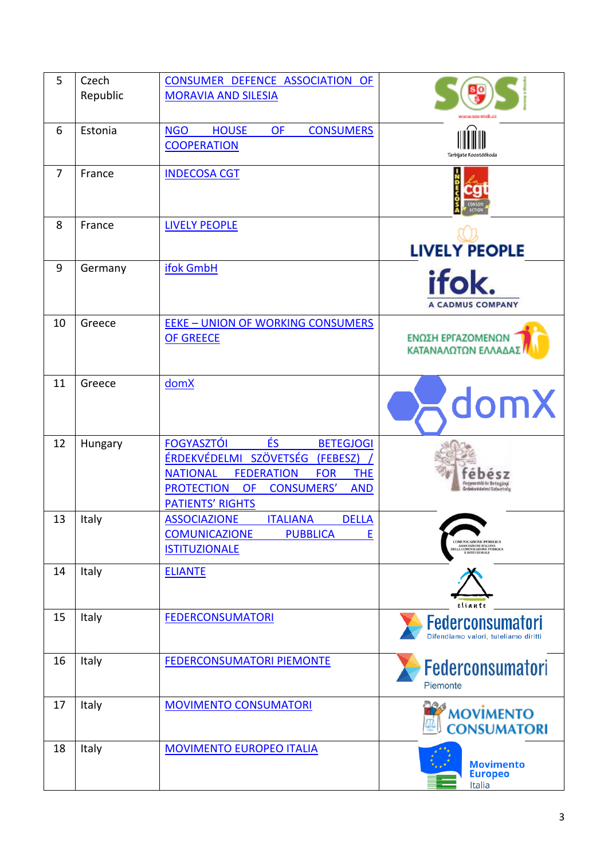| 5              | Czech<br>Republic | CONSUMER DEFENCE ASSOCIATION OF<br><b>MORAVIA AND SILESIA</b>                                                                                                                                                                                          |                                                                                                                                                                    |
|----------------|-------------------|--------------------------------------------------------------------------------------------------------------------------------------------------------------------------------------------------------------------------------------------------------|--------------------------------------------------------------------------------------------------------------------------------------------------------------------|
| 6              | Estonia           | <b>NGO</b><br><b>HOUSE</b><br><b>OF</b><br><b>CONSUMERS</b><br><b>COOPERATION</b>                                                                                                                                                                      | Tarbijate Koostöökoda                                                                                                                                              |
| $\overline{7}$ | France            | <b>INDECOSA CGT</b>                                                                                                                                                                                                                                    |                                                                                                                                                                    |
| 8              | France            | <b>LIVELY PEOPLE</b>                                                                                                                                                                                                                                   | <b>LIVELY PEOPLE</b>                                                                                                                                               |
| 9              | Germany           | ifok GmbH                                                                                                                                                                                                                                              | ifok.<br><b>A CADMUS COMPANY</b>                                                                                                                                   |
| 10             | Greece            | <b>EEKE - UNION OF WORKING CONSUMERS</b><br><b>OF GREECE</b>                                                                                                                                                                                           | ΕΝΩΣΗ ΕΡΓΑΖΟΜΕΝΩΝ<br>ΚΑΤΑΝΑΛΩΤΩΝ ΕΛΛΑΔΑΣ                                                                                                                           |
| 11             | Greece            | domX                                                                                                                                                                                                                                                   | domX                                                                                                                                                               |
| 12             | Hungary           | ÉS.<br><b>FOGYASZTÓI</b><br><b>BETEGJOGI</b><br>ÉRDEKVÉDELMI SZÖVETSÉG<br>(FEBESZ)<br><b>NATIONAL</b><br><b>FEDERATION</b><br><b>FOR</b><br><b>THE</b><br><b>PROTECTION</b><br><b>OF</b><br><b>CONSUMERS'</b><br><b>AND</b><br><b>PATIENTS' RIGHTS</b> |                                                                                                                                                                    |
| 13             | Italy             | <b>ASSOCIAZIONE</b><br><b>DELLA</b><br><b>ITALIANA</b><br><b>COMUNICAZIONE</b><br><b>PUBBLICA</b><br>Е<br><b>ISTITUZIONALE</b>                                                                                                                         | <b>COMUNICAZIONE PUBBLICA</b><br>${\begin{array}{c} \textbf{ASSOCIAZIONE ITAIANA}\\ \textbf{DELLA COMUNICAZIONE PUBBLICA}\\ \textbf{E ISTITUZIONALE} \end{array}}$ |
| 14             | Italy             | <b>ELIANTE</b>                                                                                                                                                                                                                                         | eliante                                                                                                                                                            |
| 15             | Italy             | <b>FEDERCONSUMATORI</b>                                                                                                                                                                                                                                | <b>Federconsumatori</b><br>Difendiamo valori, tuteliamo diritti                                                                                                    |
| 16             | Italy             | <b>FEDERCONSUMATORI PIEMONTE</b>                                                                                                                                                                                                                       | <b>Federconsumatori</b><br>Piemonte                                                                                                                                |
| 17             | Italy             | <b>MOVIMENTO CONSUMATORI</b>                                                                                                                                                                                                                           | <b>MOVIMENTO</b><br><b>CONSUMATORI</b>                                                                                                                             |
| 18             | Italy             | <b>MOVIMENTO EUROPEO ITALIA</b>                                                                                                                                                                                                                        | <b>Movimento</b><br><b>Europeo</b><br>Italia                                                                                                                       |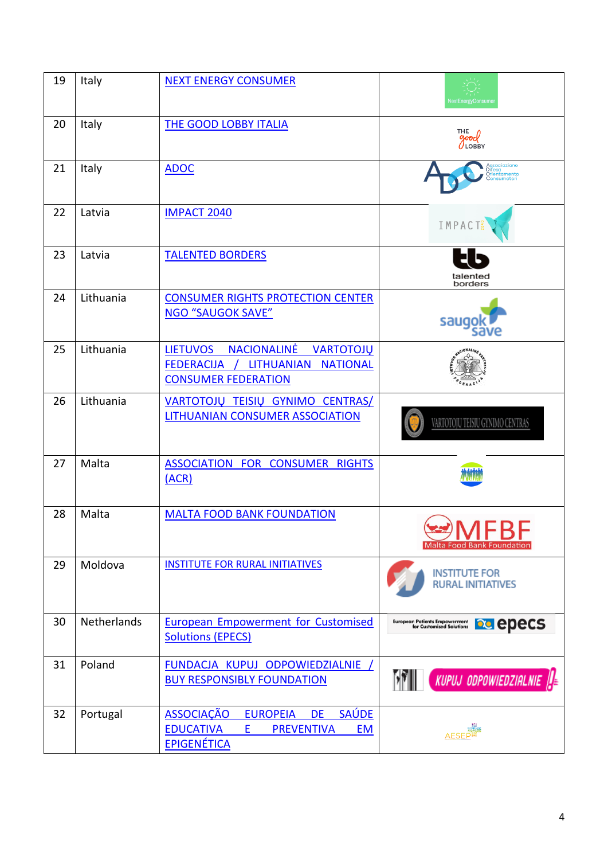| 19 | Italy              | <b>NEXT ENERGY CONSUMER</b>                                                                                                                        | NextEnergyConsumer                                                           |
|----|--------------------|----------------------------------------------------------------------------------------------------------------------------------------------------|------------------------------------------------------------------------------|
| 20 | Italy              | <b>THE GOOD LOBBY ITALIA</b>                                                                                                                       | THE<br>good                                                                  |
| 21 | Italy              | <b>ADOC</b>                                                                                                                                        | ientamento                                                                   |
| 22 | Latvia             | <b>IMPACT 2040</b>                                                                                                                                 | IMPACT                                                                       |
| 23 | Latvia             | <b>TALENTED BORDERS</b>                                                                                                                            | talented<br>borders                                                          |
| 24 | Lithuania          | <b>CONSUMER RIGHTS PROTECTION CENTER</b><br><b>NGO "SAUGOK SAVE"</b>                                                                               | saugo                                                                        |
| 25 | Lithuania          | <b>LIETUVOS</b><br><b>NACIONALINĖ</b><br><b>VARTOTOJŲ</b><br>FEDERACIJA / LITHUANIAN NATIONAL<br><b>CONSUMER FEDERATION</b>                        |                                                                              |
| 26 | Lithuania          | VARTOTOJŲ TEISIŲ GYNIMO CENTRAS/<br>LITHUANIAN CONSUMER ASSOCIATION                                                                                | VARTOTOJŲ TEISIŲ GYNIMO CENTRAS                                              |
| 27 | Malta              | ASSOCIATION FOR CONSUMER RIGHTS<br>(ACR)                                                                                                           |                                                                              |
| 28 | Malta              | <b>MALTA FOOD BANK FOUNDATION</b>                                                                                                                  | <b>JAACDC</b><br>Malta Food Bank Foundatio                                   |
| 29 | Moldova            | <b>INSTITUTE FOR RURAL INITIATIVES</b>                                                                                                             | <b>INSTITUTE FOR</b><br><b>RURAL INITIATIVES</b>                             |
| 30 | <b>Netherlands</b> | <b>European Empowerment for Customised</b><br><b>Solutions (EPECS)</b>                                                                             | European Patients Empowerment<br>for Customised Solutions<br><b>De</b> epecs |
| 31 | Poland             | FUNDACJA KUPUJ ODPOWIEDZIALNIE /<br><b>BUY RESPONSIBLY FOUNDATION</b>                                                                              | $\left[$ kupuj odpowiedzialnie $\left\  \cdot \right\ $ e                    |
| 32 | Portugal           | <b>ASSOCIAÇÃO</b><br><b>SAÚDE</b><br><b>EUROPEIA</b><br><b>DE</b><br><b>EDUCATIVA</b><br><b>PREVENTIVA</b><br>E<br><b>EM</b><br><b>EPIGENÉTICA</b> | AESEP <sup>1</sup>                                                           |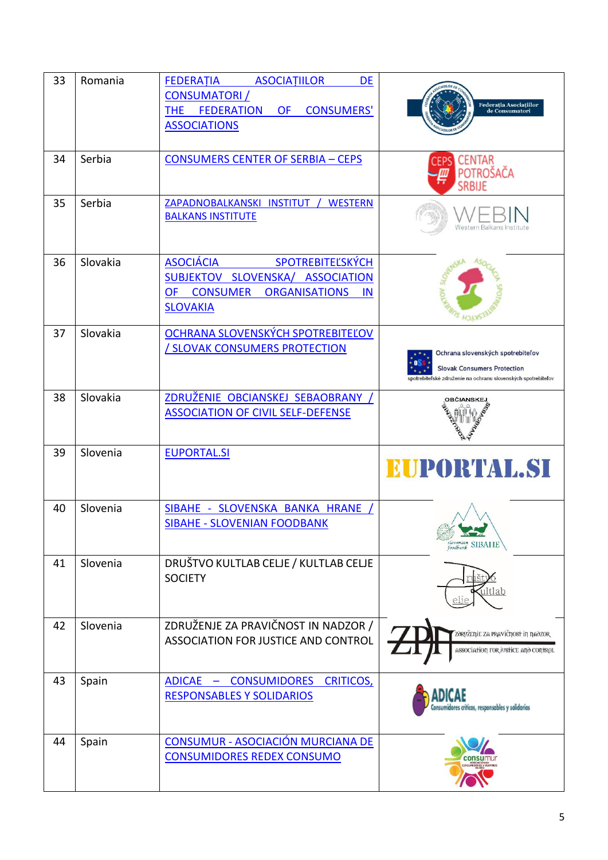| 33 | Romania  | <b>FEDERATIA</b><br><b>ASOCIATIILOR</b><br><b>DE</b>                                      |                                                                         |
|----|----------|-------------------------------------------------------------------------------------------|-------------------------------------------------------------------------|
|    |          | <b>CONSUMATORI</b> /<br><b>CONSUMERS'</b><br><b>FEDERATION</b><br><b>THE</b><br><b>OF</b> | Federația Asociațiilor<br>de Consumatori                                |
|    |          | <b>ASSOCIATIONS</b>                                                                       |                                                                         |
|    |          |                                                                                           |                                                                         |
| 34 | Serbia   | <b>CONSUMERS CENTER OF SERBIA - CEPS</b>                                                  | <b>CENTAR</b><br><b>CEPS</b><br>POTROŠAČA                               |
|    |          |                                                                                           | <b>SRBIJE</b>                                                           |
| 35 | Serbia   | ZAPADNOBALKANSKI INSTITUT / WESTERN                                                       |                                                                         |
|    |          | <b>BALKANS INSTITUTE</b>                                                                  | Western Balkans Institute                                               |
|    |          |                                                                                           |                                                                         |
| 36 | Slovakia | <b>ASOCIÁCIA</b><br>SPOTREBITEĽSKÝCH                                                      |                                                                         |
|    |          | SUBJEKTOV SLOVENSKA/ ASSOCIATION                                                          |                                                                         |
|    |          | <b>CONSUMER</b><br><b>ORGANISATIONS</b><br><b>OF</b><br><b>IN</b><br><b>SLOVAKIA</b>      |                                                                         |
|    |          |                                                                                           |                                                                         |
| 37 | Slovakia | OCHRANA SLOVENSKÝCH SPOTREBITEĽOV<br>/ SLOVAK CONSUMERS PROTECTION                        |                                                                         |
|    |          |                                                                                           | Ochrana slovenských spotrebiteľov<br><b>Slovak Consumers Protection</b> |
|    |          |                                                                                           | spotrebiteľské združenie na ochranu slovenských spotrebiteľov           |
| 38 | Slovakia | ZDRUŽENIE OBCIANSKEJ SEBAOBRANY                                                           |                                                                         |
|    |          | <b>ASSOCIATION OF CIVIL SELF-DEFENSE</b>                                                  |                                                                         |
|    |          |                                                                                           |                                                                         |
| 39 | Slovenia | <b>EUPORTAL.SI</b>                                                                        | EUPORTAL.SI                                                             |
|    |          |                                                                                           |                                                                         |
| 40 | Slovenia | SIBAHE - SLOVENSKA BANKA HRANE                                                            |                                                                         |
|    |          | <b>SIBAHE - SLOVENIAN FOODBANK</b>                                                        |                                                                         |
|    |          |                                                                                           | slovenian SIBAIIE                                                       |
| 41 | Slovenia | DRUŠTVO KULTLAB CELJE / KULTLAB CELJE                                                     |                                                                         |
|    |          | <b>SOCIETY</b>                                                                            |                                                                         |
|    |          |                                                                                           |                                                                         |
| 42 | Slovenia | ZDRUŽENJE ZA PRAVIČNOST IN NADZOR /                                                       | ZORUŽETIJE ZA PRAVIČTJOST IT TJAOZOR                                    |
|    |          | ASSOCIATION FOR JUSTICE AND CONTROL                                                       | ASSOCIATION FOR JUSTICE ΑΠΟ CONTROL                                     |
|    |          |                                                                                           |                                                                         |
| 43 | Spain    | ADICAE - CONSUMIDORES CRITICOS,                                                           |                                                                         |
|    |          | <b>RESPONSABLES Y SOLIDARIOS</b>                                                          | Consumidores críticos, responsables y solidarios                        |
|    |          |                                                                                           |                                                                         |
| 44 | Spain    | CONSUMUR - ASOCIACIÓN MURCIANA DE                                                         |                                                                         |
|    |          | <b>CONSUMIDORES REDEX CONSUMO</b>                                                         |                                                                         |
|    |          |                                                                                           |                                                                         |